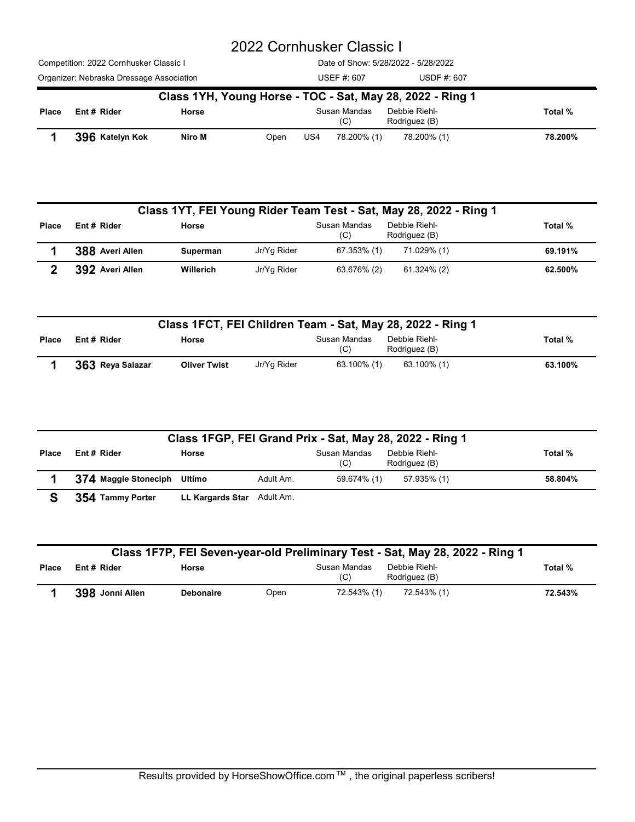|                            |                                          |                     | 2022 Cornhusker Classic I           |                     |                                                                   |         |  |
|----------------------------|------------------------------------------|---------------------|-------------------------------------|---------------------|-------------------------------------------------------------------|---------|--|
|                            |                                          |                     |                                     |                     |                                                                   |         |  |
|                            |                                          |                     |                                     |                     |                                                                   |         |  |
|                            |                                          |                     |                                     |                     |                                                                   |         |  |
|                            |                                          |                     |                                     |                     |                                                                   |         |  |
|                            |                                          |                     |                                     |                     |                                                                   |         |  |
|                            |                                          |                     |                                     |                     |                                                                   |         |  |
|                            |                                          |                     |                                     |                     |                                                                   |         |  |
|                            |                                          |                     |                                     |                     |                                                                   |         |  |
|                            |                                          |                     |                                     |                     |                                                                   |         |  |
|                            |                                          |                     |                                     |                     |                                                                   |         |  |
|                            |                                          |                     |                                     |                     |                                                                   |         |  |
|                            | Competition: 2022 Cornhusker Classic I   |                     | Date of Show: 5/28/2022 - 5/28/2022 |                     |                                                                   |         |  |
|                            | Organizer: Nebraska Dressage Association |                     |                                     | <b>USEF #: 607</b>  | USDF #: 607                                                       |         |  |
|                            |                                          |                     |                                     |                     | Class 1YH, Young Horse - TOC - Sat, May 28, 2022 - Ring 1         |         |  |
| Place                      | Ent # Rider                              | Horse               |                                     | Susan Mandas<br>(C) | Debbie Riehl-<br>Rodriguez (B)                                    | Total % |  |
|                            | 396 Katelyn Kok                          | Niro M              | Open                                | US4<br>78.200% (1)  | 78.200% (1)                                                       | 78.200% |  |
|                            |                                          |                     |                                     |                     |                                                                   |         |  |
|                            |                                          |                     |                                     |                     |                                                                   |         |  |
|                            |                                          |                     |                                     |                     |                                                                   |         |  |
|                            |                                          |                     |                                     |                     | Class 1YT, FEI Young Rider Team Test - Sat, May 28, 2022 - Ring 1 |         |  |
| Place                      | Ent# Rider                               | Horse               |                                     | Susan Mandas<br>(C) | Debbie Riehl-<br>Rodriguez (B)                                    | Total % |  |
| 1                          | 388 Averi Allen                          | Superman            | Jr/Yg Rider                         | 67.353% (1)         | 71.029% (1)                                                       | 69.191% |  |
| $\boldsymbol{\mathcal{P}}$ | 392 Averi Allen                          | Willerich           | Jr/Yg Rider                         | 63.676% (2)         | 61.324% (2)                                                       | 62.500% |  |
|                            |                                          |                     |                                     |                     |                                                                   |         |  |
|                            |                                          |                     |                                     |                     |                                                                   |         |  |
|                            |                                          |                     |                                     |                     | Class 1FCT, FEI Children Team - Sat, May 28, 2022 - Ring 1        |         |  |
| Place                      | Ent # Rider                              | Horse               |                                     | Susan Mandas<br>(C) | Debbie Riehl-<br>Rodriguez (B)                                    | Total % |  |
| 1                          | 363 Reya Salazar                         | <b>Oliver Twist</b> | Jr/Yg Rider                         | 63.100% (1)         | 63.100% (1)                                                       | 63.100% |  |

|              |                                 |                              |             |                                    | Class 1YH, Young Horse - TOC - Sat, May 28, 2022 - Ring 1                                                   |                    |
|--------------|---------------------------------|------------------------------|-------------|------------------------------------|-------------------------------------------------------------------------------------------------------------|--------------------|
| Place        | Ent# Rider                      | Horse                        |             | Susan Mandas<br>(C)                | Debbie Riehl-<br>Rodriguez (B)                                                                              | Total %            |
|              | 396 Katelyn Kok                 | Niro M                       | Open        | US4<br>78.200% (1)                 | 78.200% (1)                                                                                                 | 78.200%            |
|              |                                 |                              |             |                                    | Class 1YT, FEI Young Rider Team Test - Sat, May 28, 2022 - Ring 1                                           |                    |
| Place        | Ent# Rider                      | Horse                        |             | Susan Mandas<br>(C)                | Debbie Riehl-<br>Rodriguez (B)                                                                              | Total %            |
|              | 388 Averi Allen                 | Superman                     | Jr/Yg Rider | 67.353% (1)                        | 71.029% (1)                                                                                                 | 69.191%            |
| $\mathbf{2}$ | 392 Averi Allen                 | Willerich                    | Jr/Yg Rider | 63.676% (2)                        | 61.324% (2)                                                                                                 | 62.500%            |
| <b>Place</b> | Ent # Rider<br>363 Reya Salazar | Horse<br><b>Oliver Twist</b> | Jr/Yg Rider | Susan Mandas<br>(C)<br>63.100% (1) | Class 1FCT, FEI Children Team - Sat, May 28, 2022 - Ring 1<br>Debbie Riehl-<br>Rodriguez (B)<br>63.100% (1) | Total %<br>63.100% |
|              |                                 |                              |             |                                    | Class 1FGP, FEI Grand Prix - Sat, May 28, 2022 - Ring 1                                                     |                    |
| Place        | Ent # Rider                     | Horse                        |             | Susan Mandas<br>(C)                | Debbie Riehl-<br>Rodriguez (B)                                                                              | Total %            |
|              | 374 Maggie Stoneciph            | Ultimo                       | Adult Am.   | 59.674% (1)                        | 57.935% (1)                                                                                                 | 58.804%            |
| S            | 354 Tammy Porter                | LL Kargards Star Adult Am.   |             |                                    |                                                                                                             |                    |
|              |                                 |                              |             |                                    |                                                                                                             |                    |
|              |                                 |                              |             |                                    |                                                                                                             |                    |

|              |                  | Class 1FCT, FEI Children Team - Sat, May 28, 2022 - Ring 1 |             |                     |                                |         |
|--------------|------------------|------------------------------------------------------------|-------------|---------------------|--------------------------------|---------|
| <b>Place</b> | Ent# Rider       | Horse                                                      |             | Susan Mandas<br>(C) | Debbie Riehl-<br>Rodriguez (B) | Total % |
|              | 363 Reya Salazar | <b>Oliver Twist</b>                                        | Jr/Yg Rider | 63.100% (1)         | 63.100% (1)                    | 63.100% |

|              |                      |                            |             |                     | Class 1FCT, FEI Children Team - Sat, May 28, 2022 - Ring 1                   |         |
|--------------|----------------------|----------------------------|-------------|---------------------|------------------------------------------------------------------------------|---------|
| Place        | Ent# Rider           | Horse                      |             | Susan Mandas<br>(C) | Debbie Riehl-<br>Rodriguez (B)                                               | Total % |
|              | 363 Reya Salazar     | <b>Oliver Twist</b>        | Jr/Yg Rider | 63.100% (1)         | 63.100% (1)                                                                  | 63.100% |
|              |                      |                            |             |                     | Class 1FGP, FEI Grand Prix - Sat, May 28, 2022 - Ring 1                      |         |
| Place        | Ent # Rider          | Horse                      |             | Susan Mandas<br>(C) | Debbie Riehl-<br>Rodriguez (B)                                               | Total % |
|              | 374 Maggie Stoneciph | Ultimo                     | Adult Am.   | 59.674% (1)         | 57.935% (1)                                                                  | 58.804% |
| S            | 354 Tammy Porter     | LL Kargards Star Adult Am. |             |                     |                                                                              |         |
|              |                      |                            |             |                     | Class 1F7P, FEI Seven-year-old Preliminary Test - Sat, May 28, 2022 - Ring 1 |         |
|              |                      |                            |             |                     |                                                                              |         |
| <b>Place</b> | Ent # Rider          | Horse                      |             | Susan Mandas<br>(C) | Debbie Riehl-<br>Rodriguez (B)                                               | Total % |

|              |                 |                  |      |                     | Class 1F7P, FEI Seven-year-old Preliminary Test - Sat, May 28, 2022 - Ring 1 |         |
|--------------|-----------------|------------------|------|---------------------|------------------------------------------------------------------------------|---------|
| <b>Place</b> | Ent# Rider      | Horse            |      | Susan Mandas<br>(C) | Debbie Riehl-<br>Rodriguez (B)                                               | Total % |
|              | 398 Jonni Allen | <b>Debonaire</b> | Open | 72.543% (1)         | 72.543% (1)                                                                  | 72.543% |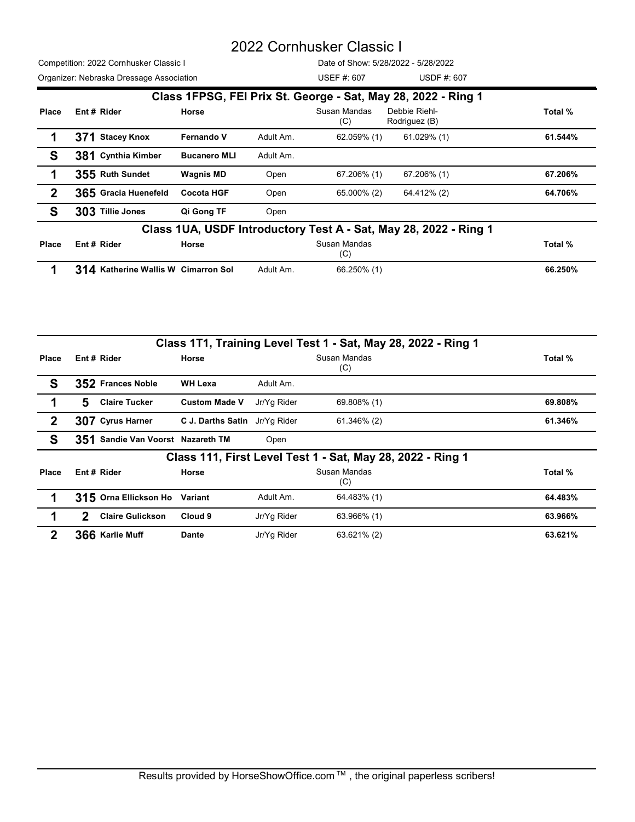|                                                               |                                          |                               |           | 2022 Cornhusker Classic I           |                                                                  |         |
|---------------------------------------------------------------|------------------------------------------|-------------------------------|-----------|-------------------------------------|------------------------------------------------------------------|---------|
|                                                               | Competition: 2022 Cornhusker Classic I   |                               |           | Date of Show: 5/28/2022 - 5/28/2022 |                                                                  |         |
|                                                               | Organizer: Nebraska Dressage Association |                               |           | USEF #: 607                         | USDF #: 607                                                      |         |
| Class 1FPSG, FEI Prix St. George - Sat, May 28, 2022 - Ring 1 |                                          |                               |           |                                     |                                                                  |         |
| Place                                                         | Ent# Rider                               | Horse                         |           | Susan Mandas<br>(C)                 | Debbie Riehl-<br>Rodriguez (B)                                   | Total % |
| 1                                                             | 371 Stacey Knox                          | Fernando V                    | Adult Am. | 62.059% (1)                         | 61.029% (1)                                                      | 61.544% |
| S                                                             | 381 Cynthia Kimber                       | <b>Bucanero MLI</b>           | Adult Am. |                                     |                                                                  |         |
| 1                                                             | 355 Ruth Sundet                          | <b>Wagnis MD</b>              | Open      | 67.206% (1)                         | 67.206% (1)                                                      | 67.206% |
| $\boldsymbol{2}$                                              | 365 Gracia Huenefeld                     | <b>Cocota HGF</b>             | Open      | 65.000% (2)                         | 64.412% (2)                                                      | 64.706% |
| $\mathbf{s}$                                                  | 303 Tillie Jones                         | Qi Gong TF                    | Open      |                                     |                                                                  |         |
|                                                               |                                          |                               |           |                                     | Class 1UA, USDF Introductory Test A - Sat, May 28, 2022 - Ring 1 |         |
| Place                                                         | Ent# Rider                               | Horse                         |           | Susan Mandas<br>(C)                 |                                                                  | Total % |
|                                                               | 314 Katherine Wallis W Cimarron Sol      |                               | Adult Am. | 66.250% (1)                         |                                                                  | 66.250% |
|                                                               |                                          |                               |           |                                     |                                                                  |         |
|                                                               |                                          |                               |           |                                     |                                                                  |         |
|                                                               |                                          |                               |           |                                     |                                                                  |         |
|                                                               |                                          |                               |           |                                     | Class 1T1, Training Level Test 1 - Sat, May 28, 2022 - Ring 1    |         |
| Place                                                         | Ent # Rider                              | Horse                         |           | Susan Mandas<br>(C)                 |                                                                  | Total % |
| S                                                             | 352 Frances Noble                        | <b>WH Lexa</b>                | Adult Am. |                                     |                                                                  |         |
| 1                                                             | <b>Claire Tucker</b><br>5                | Custom Made V Jr/Yg Rider     |           | 69.808% (1)                         |                                                                  | 69.808% |
| $\mathbf{2}$                                                  | 307 Cyrus Harner                         | C J. Darths Satin Jr/Yg Rider |           | 61.346% (2)                         |                                                                  | 61.346% |

| Place | Ent# Rider                          | Horse |           | Susan Mandas<br>(C) | Total % |
|-------|-------------------------------------|-------|-----------|---------------------|---------|
|       | 314 Katherine Wallis W Cimarron Sol |       | Adult Am. | 66.250% (1)         | 66.250% |

| 1                |   | 371 Stacey Knox                     | Fernando V                    | Adult Am.   | 62.059% (1)                                                | 61.029% (1)                                                      | 61.544% |
|------------------|---|-------------------------------------|-------------------------------|-------------|------------------------------------------------------------|------------------------------------------------------------------|---------|
| S                |   | 381 Cynthia Kimber                  | <b>Bucanero MLI</b>           | Adult Am.   |                                                            |                                                                  |         |
| 1                |   | 355 Ruth Sundet                     | <b>Wagnis MD</b>              | Open        | 67.206% (1)                                                | 67.206% (1)                                                      | 67.206% |
| $\boldsymbol{2}$ |   | 365 Gracia Huenefeld                | <b>Cocota HGF</b>             | Open        | 65.000% (2)                                                | 64.412% (2)                                                      | 64.706% |
| S                |   | 303 Tillie Jones                    | Qi Gong TF                    | Open        |                                                            |                                                                  |         |
|                  |   |                                     |                               |             |                                                            | Class 1UA, USDF Introductory Test A - Sat, May 28, 2022 - Ring 1 |         |
| Place            |   | Ent # Rider                         | Horse                         |             | Susan Mandas<br>(C)                                        |                                                                  | Total % |
| 1                |   | 314 Katherine Wallis W Cimarron Sol |                               | Adult Am.   | 66.250% (1)                                                |                                                                  | 66.250% |
|                  |   |                                     |                               |             |                                                            |                                                                  |         |
|                  |   |                                     |                               |             |                                                            |                                                                  |         |
|                  |   |                                     |                               |             |                                                            | Class 1T1, Training Level Test 1 - Sat, May 28, 2022 - Ring 1    |         |
| Place            |   | Ent # Rider                         | Horse                         |             | Susan Mandas<br>(C)                                        |                                                                  | Total % |
| S                |   | 352 Frances Noble                   | <b>WH Lexa</b>                | Adult Am.   |                                                            |                                                                  |         |
| 1                | 5 | <b>Claire Tucker</b>                | <b>Custom Made V</b>          | Jr/Yg Rider | 69.808% (1)                                                |                                                                  | 69.808% |
| $\boldsymbol{2}$ |   | 307 Cyrus Harner                    | C J. Darths Satin Jr/Yg Rider |             | 61.346% (2)                                                |                                                                  | 61.346% |
| S                |   | 351 Sandie Van Voorst Nazareth TM   |                               | Open        |                                                            |                                                                  |         |
|                  |   |                                     |                               |             | Class 111, First Level Test 1 - Sat, May 28, 2022 - Ring 1 |                                                                  |         |
| Place            |   | Ent # Rider                         | Horse                         |             | Susan Mandas<br>(C)                                        |                                                                  | Total % |
| 1                |   | 315 Orna Ellickson Ho Variant       |                               | Adult Am.   | 64.483% (1)                                                |                                                                  | 64.483% |
|                  |   | <b>Claire Gulickson</b>             | Cloud 9                       | Jr/Yg Rider | 63.966% (1)                                                |                                                                  | 63.966% |
| 1                | 2 |                                     |                               |             |                                                            |                                                                  |         |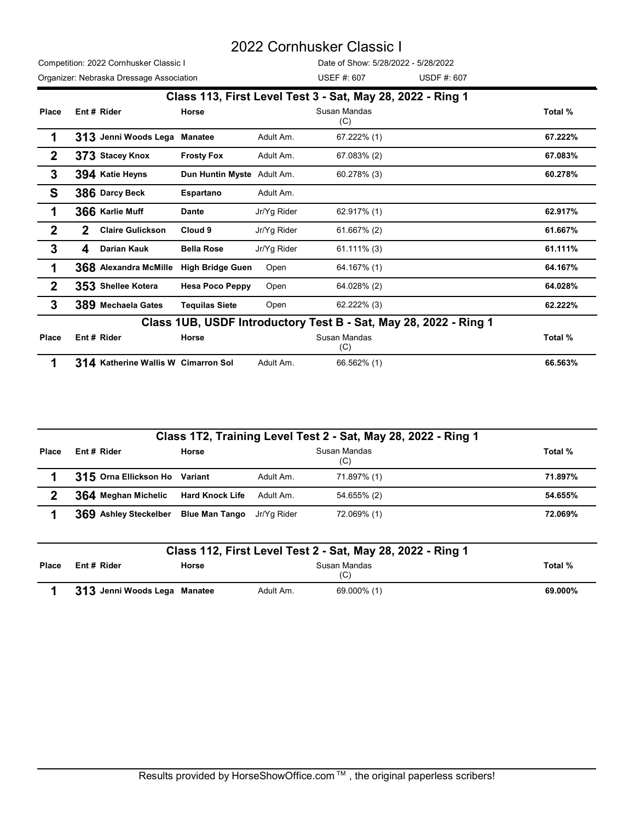|                  |                                                  |                            |             | 2022 Cornhusker Classic I                                        |         |
|------------------|--------------------------------------------------|----------------------------|-------------|------------------------------------------------------------------|---------|
|                  | Competition: 2022 Cornhusker Classic I           |                            |             | Date of Show: 5/28/2022 - 5/28/2022                              |         |
|                  | Organizer: Nebraska Dressage Association         |                            |             | <b>USEF #: 607</b><br><b>USDF #: 607</b>                         |         |
|                  |                                                  |                            |             | Class 113, First Level Test 3 - Sat, May 28, 2022 - Ring 1       |         |
| Place            | Ent # Rider                                      | Horse                      |             | Susan Mandas<br>(C)                                              | Total % |
| 1                | 313 Jenni Woods Lega Manatee                     |                            | Adult Am.   | 67.222% (1)                                                      | 67.222% |
| $\mathbf{2}$     | 373 Stacey Knox                                  | <b>Frosty Fox</b>          | Adult Am.   | 67.083% (2)                                                      | 67.083% |
| 3                | 394 Katie Heyns                                  | Dun Huntin Myste Adult Am. |             | 60.278% (3)                                                      | 60.278% |
| $\mathbf{s}$     | 386 Darcy Beck                                   | Espartano                  | Adult Am.   |                                                                  |         |
| 1                | 366 Karlie Muff                                  | <b>Dante</b>               | Jr/Yg Rider | 62.917% (1)                                                      | 62.917% |
| $\mathbf{2}$     | $\mathbf{2}$<br><b>Claire Gulickson</b>          | Cloud 9                    | Jr/Yg Rider | 61.667% (2)                                                      | 61.667% |
| 3                | Darian Kauk<br>4                                 | <b>Bella Rose</b>          | Jr/Yg Rider | $61.111\%$ (3)                                                   | 61.111% |
|                  | 368 Alexandra McMille High Bridge Guen           |                            | Open        | 64.167% (1)                                                      | 64.167% |
| $\boldsymbol{2}$ | 353 Shellee Kotera                               | <b>Hesa Poco Peppy</b>     | Open        | 64.028% (2)                                                      | 64.028% |
| 3                | 389 Mechaela Gates                               | <b>Tequilas Siete</b>      | Open        | 62.222% (3)                                                      | 62.222% |
|                  |                                                  |                            |             | Class 1UB, USDF Introductory Test B - Sat, May 28, 2022 - Ring 1 |         |
| Place            | Ent # Rider                                      | Horse                      |             | Susan Mandas<br>(C)                                              | Total % |
|                  | 314 Katherine Wallis W Cimarron Sol              |                            | Adult Am.   | 66.562% (1)                                                      | 66.563% |
|                  |                                                  |                            |             |                                                                  |         |
|                  |                                                  |                            |             | Class 1T2, Training Level Test 2 - Sat, May 28, 2022 - Ring 1    |         |
| Place            | Ent # Rider                                      | Horse                      |             | Susan Mandas<br>(C)                                              | Total % |
| 1                | 315 Orna Ellickson Ho Variant                    |                            | Adult Am.   | 71.897% (1)                                                      | 71.897% |
| $\mathbf 2$      | 364 Meghan Michelic                              | <b>Hard Knock Life</b>     | Adult Am.   | 54.655% (2)                                                      | 54.655% |
| 1                | 369 Ashley Steckelber Blue Man Tango Jr/Yg Rider |                            |             | 72.069% (1)                                                      | 72.069% |
|                  |                                                  |                            |             | Class 112, First Level Test 2 - Sat, May 28, 2022 - Ring 1       |         |
|                  |                                                  |                            |             |                                                                  |         |

| Class 1UB, USDF Introductory Test B - Sat, May 28, 2022 - Ring 1<br>Ent # Rider<br>Susan Mandas<br>Total %<br>Horse<br>(C)<br>314 Katherine Wallis W Cimarron Sol<br>Adult Am.<br>66.562% (1)<br>66.563%<br>Class 1T2, Training Level Test 2 - Sat, May 28, 2022 - Ring 1<br>Susan Mandas<br>Ent# Rider<br>Total %<br>Horse<br>(C)<br>315 Orna Ellickson Ho Variant<br>Adult Am.<br>71.897% (1)<br>71.897%<br>364 Meghan Michelic<br>Adult Am.<br>54.655% (2)<br>$\mathbf{2}$<br><b>Hard Knock Life</b><br>54.655%<br>369 Ashley Steckelber<br>Blue Man Tango Jr/Yg Rider<br>72.069% (1)<br>72.069%<br>Class 112, First Level Test 2 - Sat, May 28, 2022 - Ring 1<br>Susan Mandas<br>Ent# Rider<br>Total %<br>Horse<br>(C)<br>Adult Am.<br>69.000% (1)<br>313 Jenni Woods Lega Manatee<br>69.000% |       | 389 Mechaela Gates | <b>Tequilas Siete</b> | Open | 62.222% (3) | 62.222% |
|---------------------------------------------------------------------------------------------------------------------------------------------------------------------------------------------------------------------------------------------------------------------------------------------------------------------------------------------------------------------------------------------------------------------------------------------------------------------------------------------------------------------------------------------------------------------------------------------------------------------------------------------------------------------------------------------------------------------------------------------------------------------------------------------------|-------|--------------------|-----------------------|------|-------------|---------|
|                                                                                                                                                                                                                                                                                                                                                                                                                                                                                                                                                                                                                                                                                                                                                                                                   |       |                    |                       |      |             |         |
|                                                                                                                                                                                                                                                                                                                                                                                                                                                                                                                                                                                                                                                                                                                                                                                                   | Place |                    |                       |      |             |         |
|                                                                                                                                                                                                                                                                                                                                                                                                                                                                                                                                                                                                                                                                                                                                                                                                   |       |                    |                       |      |             |         |
|                                                                                                                                                                                                                                                                                                                                                                                                                                                                                                                                                                                                                                                                                                                                                                                                   |       |                    |                       |      |             |         |
|                                                                                                                                                                                                                                                                                                                                                                                                                                                                                                                                                                                                                                                                                                                                                                                                   |       |                    |                       |      |             |         |
|                                                                                                                                                                                                                                                                                                                                                                                                                                                                                                                                                                                                                                                                                                                                                                                                   | Place |                    |                       |      |             |         |
|                                                                                                                                                                                                                                                                                                                                                                                                                                                                                                                                                                                                                                                                                                                                                                                                   |       |                    |                       |      |             |         |
|                                                                                                                                                                                                                                                                                                                                                                                                                                                                                                                                                                                                                                                                                                                                                                                                   |       |                    |                       |      |             |         |
|                                                                                                                                                                                                                                                                                                                                                                                                                                                                                                                                                                                                                                                                                                                                                                                                   |       |                    |                       |      |             |         |
|                                                                                                                                                                                                                                                                                                                                                                                                                                                                                                                                                                                                                                                                                                                                                                                                   |       |                    |                       |      |             |         |
|                                                                                                                                                                                                                                                                                                                                                                                                                                                                                                                                                                                                                                                                                                                                                                                                   | Place |                    |                       |      |             |         |
|                                                                                                                                                                                                                                                                                                                                                                                                                                                                                                                                                                                                                                                                                                                                                                                                   |       |                    |                       |      |             |         |
|                                                                                                                                                                                                                                                                                                                                                                                                                                                                                                                                                                                                                                                                                                                                                                                                   |       |                    |                       |      |             |         |
|                                                                                                                                                                                                                                                                                                                                                                                                                                                                                                                                                                                                                                                                                                                                                                                                   |       |                    |                       |      |             |         |
|                                                                                                                                                                                                                                                                                                                                                                                                                                                                                                                                                                                                                                                                                                                                                                                                   |       |                    |                       |      |             |         |

|              |                              |       |           | Class 112, First Level Test 2 - Sat, May 28, 2022 - Ring 1 |         |
|--------------|------------------------------|-------|-----------|------------------------------------------------------------|---------|
| <b>Place</b> | Ent#Rider                    | Horse |           | Susan Mandas<br>(C)                                        | Total % |
|              | 313 Jenni Woods Lega Manatee |       | Adult Am. | 69.000% (1)                                                | 69.000% |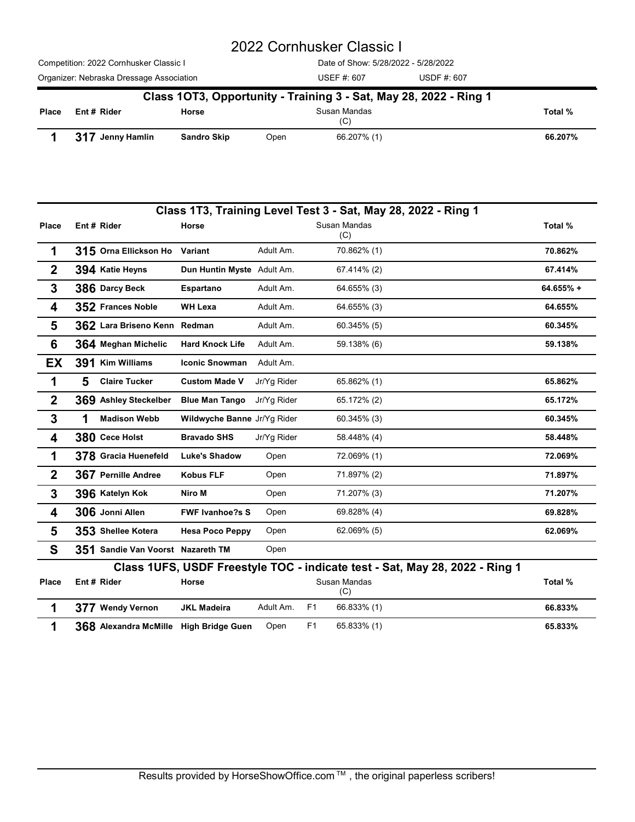|       |                                          |                    |      | 2022 Cornhusker Classic I           |                                                                   |         |
|-------|------------------------------------------|--------------------|------|-------------------------------------|-------------------------------------------------------------------|---------|
|       | Competition: 2022 Cornhusker Classic I   |                    |      | Date of Show: 5/28/2022 - 5/28/2022 |                                                                   |         |
|       | Organizer: Nebraska Dressage Association |                    |      | USEF #: 607                         | USDF #: 607                                                       |         |
|       |                                          |                    |      |                                     | Class 10T3, Opportunity - Training 3 - Sat, May 28, 2022 - Ring 1 |         |
| Place | Ent# Rider                               | Horse              |      | Susan Mandas<br>(C)                 |                                                                   | Total % |
| 1     | 317 Jenny Hamlin                         | <b>Sandro Skip</b> | Open | 66.207% (1)                         |                                                                   | 66.207% |
|       |                                          |                    |      |                                     |                                                                   |         |
|       |                                          |                    |      |                                     |                                                                   |         |
|       |                                          |                    |      |                                     |                                                                   |         |

|                  | Competition: 2022 Cornhusker Classic I   |                             |              | Date of Show: 5/28/2022 - 5/28/2022                               |                                                                             |           |
|------------------|------------------------------------------|-----------------------------|--------------|-------------------------------------------------------------------|-----------------------------------------------------------------------------|-----------|
|                  | Organizer: Nebraska Dressage Association |                             |              | <b>USEF #: 607</b>                                                | <b>USDF #: 607</b>                                                          |           |
|                  |                                          |                             |              | Class 10T3, Opportunity - Training 3 - Sat, May 28, 2022 - Ring 1 |                                                                             |           |
| Place            | Ent # Rider                              | Horse                       |              | Susan Mandas                                                      |                                                                             | Total %   |
| 1                | 317 Jenny Hamlin                         | <b>Sandro Skip</b>          | Open         | (C)<br>66.207% (1)                                                |                                                                             | 66.207%   |
|                  |                                          |                             |              |                                                                   |                                                                             |           |
|                  |                                          |                             |              | Class 1T3, Training Level Test 3 - Sat, May 28, 2022 - Ring 1     |                                                                             |           |
| <b>Place</b>     | Ent # Rider                              | Horse                       |              | Susan Mandas<br>(C)                                               |                                                                             | Total %   |
| 1                | 315 Orna Ellickson Ho                    | Variant                     | Adult Am.    | 70.862% (1)                                                       |                                                                             | 70.862%   |
| $\mathbf{2}$     | 394 Katie Heyns                          | Dun Huntin Myste Adult Am.  |              | 67.414% (2)                                                       |                                                                             | 67.414%   |
| 3                | 386 Darcy Beck                           | Espartano                   | Adult Am.    | 64.655% (3)                                                       |                                                                             | 64.655% + |
| 4                | 352 Frances Noble                        | <b>WH Lexa</b>              | Adult Am.    | 64.655% (3)                                                       |                                                                             | 64.655%   |
| 5                | 362 Lara Briseno Kenn Redman             |                             | Adult Am.    | 60.345% (5)                                                       |                                                                             | 60.345%   |
| $6\phantom{1}6$  | 364 Meghan Michelic                      | <b>Hard Knock Life</b>      | Adult Am.    | 59.138% (6)                                                       |                                                                             | 59.138%   |
| EX               | 391 Kim Williams                         | <b>Iconic Snowman</b>       | Adult Am.    |                                                                   |                                                                             |           |
| 1                | 5<br><b>Claire Tucker</b>                | <b>Custom Made V</b>        | Jr/Yg Rider  | 65.862% (1)                                                       |                                                                             | 65.862%   |
| $\boldsymbol{2}$ | 369 Ashley Steckelber                    | Blue Man Tango Jr/Yg Rider  |              | 65.172% (2)                                                       |                                                                             | 65.172%   |
| 3                | 1<br><b>Madison Webb</b>                 | Wildwyche Banne Jr/Yg Rider |              | 60.345% (3)                                                       |                                                                             | 60.345%   |
| 4                | 380 Cece Holst                           | <b>Bravado SHS</b>          | Jr/Yg Rider  | 58.448% (4)                                                       |                                                                             | 58.448%   |
| 1                | 378 Gracia Huenefeld                     | <b>Luke's Shadow</b>        | Open         | 72.069% (1)                                                       |                                                                             | 72.069%   |
| $\mathbf{2}$     | 367 Pernille Andree                      | <b>Kobus FLF</b>            | Open         | 71.897% (2)                                                       |                                                                             | 71.897%   |
| $\boldsymbol{3}$ | 396 Katelyn Kok                          | Niro M                      | Open         | 71.207% (3)                                                       |                                                                             | 71.207%   |
| 4                | 306 Jonni Allen                          | <b>FWF Ivanhoe?s S</b>      | Open         | 69.828% (4)                                                       |                                                                             | 69.828%   |
| 5                | 353 Shellee Kotera                       | <b>Hesa Poco Peppy</b>      | Open         | 62.069% (5)                                                       |                                                                             | 62.069%   |
| S                | 351 Sandie Van Voorst Nazareth TM        |                             | Open         |                                                                   |                                                                             |           |
|                  |                                          |                             |              |                                                                   | Class 1UFS, USDF Freestyle TOC - indicate test - Sat, May 28, 2022 - Ring 1 |           |
| Place            | Ent # Rider                              | Horse                       |              | Susan Mandas<br>(C)                                               |                                                                             | Total %   |
| 1                | 377 Wendy Vernon                         | <b>JKL Madeira</b>          | Adult Am. F1 | 66.833% (1)                                                       |                                                                             | 66.833%   |
| 1                | 368 Alexandra McMille High Bridge Guen   |                             | Open         | F <sub>1</sub><br>65.833% (1)                                     |                                                                             | 65.833%   |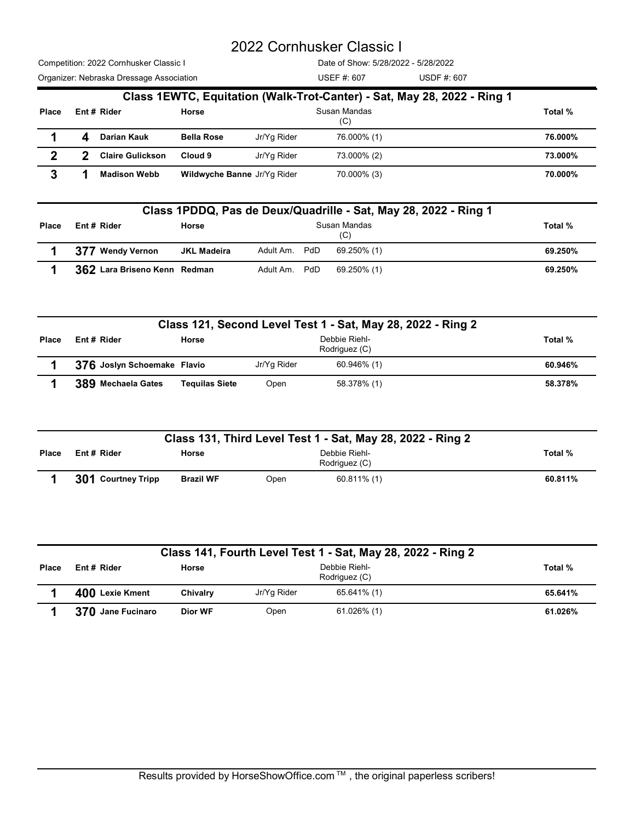|              |              |                                                                                    |                                                                      | 2022 Cornhusker Classic I |                                                    |                                                                         |         |
|--------------|--------------|------------------------------------------------------------------------------------|----------------------------------------------------------------------|---------------------------|----------------------------------------------------|-------------------------------------------------------------------------|---------|
|              |              | Competition: 2022 Cornhusker Classic I<br>Organizer: Nebraska Dressage Association |                                                                      |                           | Date of Show: 5/28/2022 - 5/28/2022<br>USEF #: 607 | USDF #: 607                                                             |         |
|              |              |                                                                                    |                                                                      |                           |                                                    | Class 1EWTC, Equitation (Walk-Trot-Canter) - Sat, May 28, 2022 - Ring 1 |         |
| Place        |              | Ent # Rider                                                                        | Horse                                                                |                           | Susan Mandas<br>(C)                                |                                                                         | Total % |
| 1            | 4            | Darian Kauk                                                                        | <b>Bella Rose</b>                                                    | Jr/Yg Rider               | 76.000% (1)                                        |                                                                         | 76.000% |
| $\mathbf{2}$ | $\mathbf{2}$ | <b>Claire Gulickson</b>                                                            | Cloud 9                                                              | Jr/Yg Rider               | 73.000% (2)                                        |                                                                         | 73.000% |
| 3            | 1            | <b>Madison Webb</b>                                                                | Wildwyche Banne Jr/Yg Rider                                          |                           | 70.000% (3)                                        |                                                                         | 70.000% |
|              |              |                                                                                    |                                                                      |                           |                                                    | Class 1PDDQ, Pas de Deux/Quadrille - Sat, May 28, 2022 - Ring 1         |         |
| Place        |              | Ent# Rider                                                                         | Horse                                                                |                           | Susan Mandas<br>(C)                                |                                                                         | Total % |
|              |              | 377 Wendy Vernon                                                                   | <b>JKL Madeira</b>                                                   | Adult Am. PdD             | 69.250% (1)                                        |                                                                         | 69.250% |
|              |              | 362 Lara Briseno Kenn Redman                                                       |                                                                      | Adult Am. PdD             | 69.250% (1)                                        |                                                                         | 69.250% |
| 4            |              |                                                                                    |                                                                      |                           |                                                    |                                                                         |         |
|              |              |                                                                                    |                                                                      |                           |                                                    |                                                                         |         |
| Place        |              | Ent # Rider                                                                        | Class 121, Second Level Test 1 - Sat, May 28, 2022 - Ring 2<br>Horse |                           | Debbie Riehl-<br>Rodriguez (C)                     |                                                                         | Total % |
| 1            |              | 376 Joslyn Schoemake Flavio                                                        |                                                                      | Jr/Yg Rider               | 60.946% (1)                                        |                                                                         | 60.946% |

| <b>Piace</b> | $Ent#$ Riger                            | norse                       |               | Susan Manuas<br>(C)                                                                           | Total % |
|--------------|-----------------------------------------|-----------------------------|---------------|-----------------------------------------------------------------------------------------------|---------|
|              | <b>Darian Kauk</b><br>4                 | <b>Bella Rose</b>           | Jr/Yg Rider   | 76.000% (1)                                                                                   | 76.000% |
| $\mathbf{2}$ | <b>Claire Gulickson</b><br>$\mathbf{2}$ | Cloud 9                     | Jr/Yg Rider   | 73.000% (2)                                                                                   | 73.000% |
| 3            | <b>Madison Webb</b>                     | Wildwyche Banne Jr/Yg Rider |               | 70.000% (3)                                                                                   | 70.000% |
|              |                                         |                             |               | Class 1PDDQ, Pas de Deux/Quadrille - Sat, May 28, 2022 - Ring 1                               |         |
| Place        | Ent# Rider                              | Horse                       |               | Susan Mandas<br>(C)                                                                           | Total % |
|              | 377 Wendy Vernon                        | <b>JKL Madeira</b>          | Adult Am. PdD | 69.250% (1)                                                                                   | 69.250% |
| 1            | 362 Lara Briseno Kenn Redman            |                             | Adult Am. PdD | 69.250% (1)                                                                                   | 69.250% |
|              |                                         |                             |               |                                                                                               |         |
| Place        | Ent # Rider                             | Horse                       |               | Class 121, Second Level Test 1 - Sat, May 28, 2022 - Ring 2<br>Debbie Riehl-<br>Rodriguez (C) | Total % |
|              | 376 Joslyn Schoemake Flavio             |                             | Jr/Yg Rider   | 60.946% (1)                                                                                   | 60.946% |
| 1            | 389 Mechaela Gates                      | <b>Tequilas Siete</b>       | Open          | 58.378% (1)                                                                                   | 58.378% |
|              |                                         |                             |               | Class 131, Third Level Test 1 - Sat, May 28, 2022 - Ring 2                                    |         |
| Place        | Ent # Rider                             | Horse                       |               | Debbie Riehl-<br>Rodriguez (C)                                                                | Total % |

|              |                              |                       |               | Class 1PDDQ, Pas de Deux/Quadrille - Sat, May 28, 2022 - Ring 1                              |         |
|--------------|------------------------------|-----------------------|---------------|----------------------------------------------------------------------------------------------|---------|
| Place        | Ent# Rider                   | Horse                 |               | Susan Mandas<br>(C)                                                                          | Total % |
|              | 377 Wendy Vernon             | <b>JKL Madeira</b>    | Adult Am. PdD | 69.250% (1)                                                                                  | 69.250% |
|              | 362 Lara Briseno Kenn Redman |                       | Adult Am. PdD | 69.250% (1)                                                                                  | 69.250% |
|              |                              |                       |               | Class 121, Second Level Test 1 - Sat, May 28, 2022 - Ring 2                                  |         |
| Place        | Ent # Rider                  | Horse                 |               | Debbie Riehl-<br>Rodriguez (C)                                                               | Total % |
|              | 376 Joslyn Schoemake Flavio  |                       | Jr/Yg Rider   | 60.946% (1)                                                                                  | 60.946% |
|              | 389 Mechaela Gates           | <b>Tequilas Siete</b> | Open          | 58.378% (1)                                                                                  | 58.378% |
| <b>Place</b> | Ent # Rider                  | Horse                 |               | Class 131, Third Level Test 1 - Sat, May 28, 2022 - Ring 2<br>Debbie Riehl-<br>Rodriguez (C) | Total % |
|              | 301 Courtney Tripp           | <b>Brazil WF</b>      | Open          | 60.811% (1)                                                                                  | 60.811% |
|              |                              |                       |               | Class 141, Fourth Level Test 1 - Sat, May 28, 2022 - Ring 2                                  |         |
| Place        | Ent# Rider                   | Horse                 |               | Debbie Riehl-<br>Rodriguez (C)                                                               | Total % |
|              |                              |                       |               |                                                                                              | 65.641% |
|              | 400 Lexie Kment              | Chivalry              | Jr/Yg Rider   | 65.641% (1)                                                                                  |         |

|       |                    |                  |      | Class 131, Third Level Test 1 - Sat, May 28, 2022 - Ring 2 |         |
|-------|--------------------|------------------|------|------------------------------------------------------------|---------|
| Place | Ent # Rider        | Horse            |      | Debbie Riehl-<br>Rodriguez (C)                             | Total % |
|       | 301 Courtney Tripp | <b>Brazil WF</b> | Open | $60.811\%$ (1)                                             | 60.811% |

| Total %<br>Debbie Riehl-<br>Ent# Rider<br>Horse<br>Place<br>Rodriguez (C)<br>376 Joslyn Schoemake Flavio<br>Jr/Yg Rider<br>60.946%<br>60.946% (1)<br>389 Mechaela Gates<br><b>Tequilas Siete</b><br>Open<br>58.378% (1)<br>58.378%<br>Class 131, Third Level Test 1 - Sat, May 28, 2022 - Ring 2<br>Debbie Riehl-<br>Total %<br>Ent# Rider<br>Horse<br>Rodriguez (C)<br>301 Courtney Tripp<br><b>Brazil WF</b><br>$60.811\%$ (1)<br>60.811%<br>Open<br>Class 141, Fourth Level Test 1 - Sat, May 28, 2022 - Ring 2 |
|--------------------------------------------------------------------------------------------------------------------------------------------------------------------------------------------------------------------------------------------------------------------------------------------------------------------------------------------------------------------------------------------------------------------------------------------------------------------------------------------------------------------|
| Place                                                                                                                                                                                                                                                                                                                                                                                                                                                                                                              |
|                                                                                                                                                                                                                                                                                                                                                                                                                                                                                                                    |
|                                                                                                                                                                                                                                                                                                                                                                                                                                                                                                                    |
|                                                                                                                                                                                                                                                                                                                                                                                                                                                                                                                    |
|                                                                                                                                                                                                                                                                                                                                                                                                                                                                                                                    |
|                                                                                                                                                                                                                                                                                                                                                                                                                                                                                                                    |
| Debbie Riehl-<br>Total %<br>Ent # Rider<br>Horse<br>Place                                                                                                                                                                                                                                                                                                                                                                                                                                                          |
| Rodriguez (C)                                                                                                                                                                                                                                                                                                                                                                                                                                                                                                      |
| 400 Lexie Kment<br>Jr/Yg Rider<br>65.641% (1)<br>Chivalry<br>65.641%                                                                                                                                                                                                                                                                                                                                                                                                                                               |
| 370 Jane Fucinaro<br>$61.026\%$ (1)<br>Dior WF<br>Open<br>61.026%                                                                                                                                                                                                                                                                                                                                                                                                                                                  |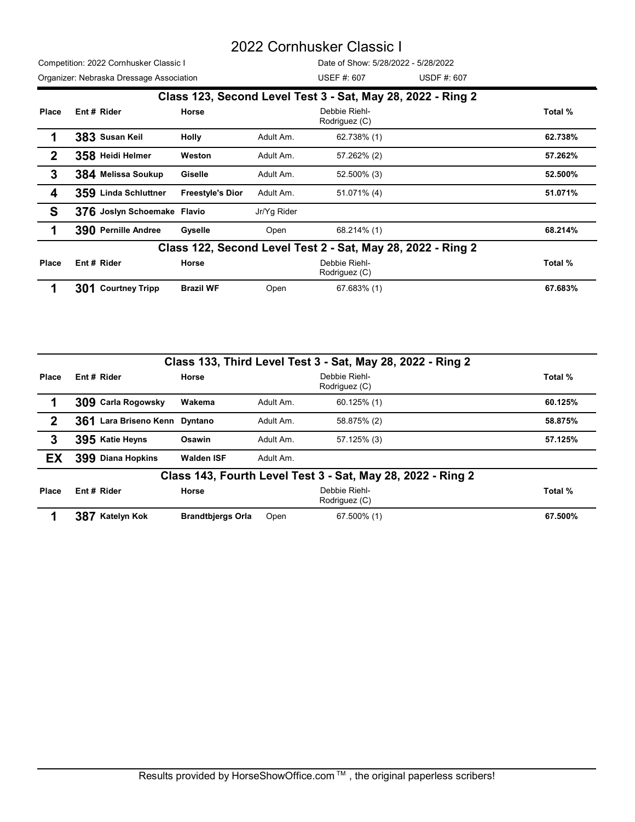|                  |                                          |                         |             | 2022 Cornhusker Classic I                                                                     |         |
|------------------|------------------------------------------|-------------------------|-------------|-----------------------------------------------------------------------------------------------|---------|
|                  | Competition: 2022 Cornhusker Classic I   |                         |             | Date of Show: 5/28/2022 - 5/28/2022                                                           |         |
|                  | Organizer: Nebraska Dressage Association |                         |             | USDF #: 607<br><b>USEF #: 607</b>                                                             |         |
| Place            | Ent # Rider                              | Horse                   |             | Class 123, Second Level Test 3 - Sat, May 28, 2022 - Ring 2<br>Debbie Riehl-<br>Rodriguez (C) | Total % |
| 1                | 383 Susan Keil                           | <b>Holly</b>            | Adult Am.   | 62.738% (1)                                                                                   | 62.738% |
| $\boldsymbol{2}$ | 358 Heidi Helmer                         | Weston                  | Adult Am.   | 57.262% (2)                                                                                   | 57.262% |
| 3                | 384 Melissa Soukup                       | Giselle                 | Adult Am.   | 52.500% (3)                                                                                   | 52.500% |
| 4                | 359 Linda Schluttner                     | <b>Freestyle's Dior</b> | Adult Am.   | 51.071% (4)                                                                                   | 51.071% |
| S                | 376 Joslyn Schoemake Flavio              |                         | Jr/Yg Rider |                                                                                               |         |
| 1                | 390 Pernille Andree                      | Gyselle                 | Open        | 68.214% (1)                                                                                   | 68.214% |
|                  |                                          |                         |             | Class 122, Second Level Test 2 - Sat, May 28, 2022 - Ring 2                                   |         |
| Place            | Ent# Rider                               | Horse                   |             | Debbie Riehl-<br>Rodriguez (C)                                                                | Total % |
|                  | 301 Courtney Tripp                       | <b>Brazil WF</b>        | Open        | 67.683% (1)                                                                                   | 67.683% |
|                  |                                          |                         |             |                                                                                               |         |
|                  |                                          |                         |             | Class 133, Third Level Test 3 - Sat, May 28, 2022 - Ring 2                                    |         |
| Place            | Ent # Rider                              | Horse                   |             | Debbie Riehl-<br>Rodriguez (C)                                                                | Total % |
| 1                | 309 Carla Rogowsky                       | Wakema                  | Adult Am.   | 60.125% (1)                                                                                   | 60.125% |
| $\mathbf{2}$     | 361 Lara Briseno Kenn Dyntano            |                         | Adult Am.   | 58.875% (2)                                                                                   | 58.875% |
| 3                | 395 Katie Heyns                          | Osawin                  | Adult Am.   | 57.125% (3)                                                                                   | 57.125% |
| EX               | 399 Diana Hopkins                        | <b>Walden ISF</b>       | Adult Am.   |                                                                                               |         |
|                  |                                          |                         |             | Class 143, Fourth Level Test 3 - Sat, May 28, 2022 - Ring 2                                   |         |
|                  |                                          |                         |             |                                                                                               |         |

| 3            | 384 Melissa Soukup            | Giselle                 | Adult Am.   | 52.500% (3)                                                 | 52.500% |
|--------------|-------------------------------|-------------------------|-------------|-------------------------------------------------------------|---------|
| 4            | 359 Linda Schluttner          | <b>Freestyle's Dior</b> | Adult Am.   | 51.071% (4)                                                 | 51.071% |
| S            | 376 Joslyn Schoemake Flavio   |                         | Jr/Yg Rider |                                                             |         |
| 1            | 390 Pernille Andree           | Gyselle                 | Open        | 68.214% (1)                                                 | 68.214% |
|              |                               |                         |             | Class 122, Second Level Test 2 - Sat, May 28, 2022 - Ring 2 |         |
| Place        | Ent# Rider                    | Horse                   |             | Debbie Riehl-<br>Rodriguez (C)                              | Total % |
| 1            | 301 Courtney Tripp            | <b>Brazil WF</b>        | Open        | 67.683% (1)                                                 | 67.683% |
|              |                               |                         |             |                                                             |         |
|              |                               |                         |             |                                                             |         |
|              |                               |                         |             | Class 133, Third Level Test 3 - Sat, May 28, 2022 - Ring 2  |         |
| Place        | Ent# Rider                    | Horse                   |             | Debbie Riehl-<br>Rodriguez (C)                              | Total % |
| 1            | 309 Carla Rogowsky            | Wakema                  | Adult Am.   | 60.125% (1)                                                 | 60.125% |
| $\mathbf{2}$ | 361 Lara Briseno Kenn Dyntano |                         | Adult Am.   | 58.875% (2)                                                 | 58.875% |
| 3            | 395 Katie Heyns               | Osawin                  | Adult Am.   | 57.125% (3)                                                 | 57.125% |
| EX           | 399 Diana Hopkins             | <b>Walden ISF</b>       | Adult Am.   |                                                             |         |
|              |                               |                         |             | Class 143, Fourth Level Test 3 - Sat, May 28, 2022 - Ring 2 |         |
| Place        | Ent# Rider                    | Horse                   |             | Debbie Riehl-<br>Rodriguez (C)                              | Total % |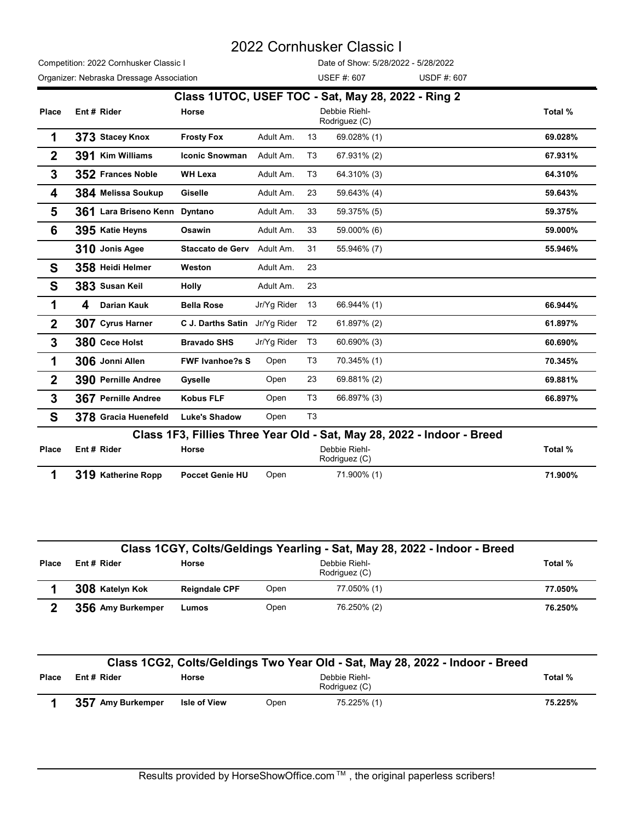|              |                                          |                                  |                |                                | 2022 Cornhusker Classic I                                              |                                                                          |         |
|--------------|------------------------------------------|----------------------------------|----------------|--------------------------------|------------------------------------------------------------------------|--------------------------------------------------------------------------|---------|
|              | Competition: 2022 Cornhusker Classic I   |                                  |                |                                | Date of Show: 5/28/2022 - 5/28/2022                                    |                                                                          |         |
|              | Organizer: Nebraska Dressage Association |                                  |                | USEF #: 607                    |                                                                        | USDF #: 607                                                              |         |
|              |                                          |                                  |                |                                | Class 1UTOC, USEF TOC - Sat, May 28, 2022 - Ring 2                     |                                                                          |         |
| Place        | Ent# Rider                               | Horse                            |                | Debbie Riehl-<br>Rodriguez (C) |                                                                        |                                                                          | Total % |
| 1            | 373 Stacey Knox                          | <b>Frosty Fox</b>                | Adult Am.      | 13                             | 69.028% (1)                                                            |                                                                          | 69.028% |
| $\mathbf{2}$ | 391 Kim Williams                         | <b>Iconic Snowman</b>            | Adult Am.      | T <sub>3</sub>                 | 67.931% (2)                                                            |                                                                          | 67.931% |
| 3            | 352 Frances Noble                        | <b>WH Lexa</b>                   | Adult Am.      | T <sub>3</sub>                 | 64.310% (3)                                                            |                                                                          | 64.310% |
| 4            | 384 Melissa Soukup                       | Giselle                          | Adult Am.      | 23                             | 59.643% (4)                                                            |                                                                          | 59.643% |
| 5            | 361 Lara Briseno Kenn Dyntano            |                                  | Adult Am.      | 33                             | 59.375% (5)                                                            |                                                                          | 59.375% |
| 6            | 395 Katie Heyns                          | Osawin                           | Adult Am.      | 33                             | 59.000% (6)                                                            |                                                                          | 59.000% |
|              | 310 Jonis Agee                           | <b>Staccato de Gerv</b>          | Adult Am.      | 31                             | 55.946% (7)                                                            |                                                                          | 55.946% |
| S            | 358 Heidi Helmer                         | Weston                           | Adult Am.      | 23                             |                                                                        |                                                                          |         |
| S            | 383 Susan Keil                           | <b>Holly</b>                     | Adult Am. 23   |                                |                                                                        |                                                                          |         |
| 1            | Darian Kauk<br>4                         | <b>Bella Rose</b>                | Jr/Yg Rider 13 |                                | 66.944% (1)                                                            |                                                                          | 66.944% |
| $\mathbf 2$  | 307 Cyrus Harner                         | C J. Darths Satin Jr/Yg Rider T2 |                |                                | 61.897% (2)                                                            |                                                                          | 61.897% |
| 3            | 380 Cece Holst                           | <b>Bravado SHS</b>               | Jr/Yg Rider T3 |                                | 60.690% (3)                                                            |                                                                          | 60.690% |
| 1            | 306 Jonni Allen                          | <b>FWF Ivanhoe?s S</b>           | Open           | T <sub>3</sub>                 | 70.345% (1)                                                            |                                                                          | 70.345% |
| $\mathbf{2}$ | 390 Pernille Andree                      | Gyselle                          | Open           | 23                             | 69.881% (2)                                                            |                                                                          | 69.881% |
| 3            | 367 Pernille Andree                      | <b>Kobus FLF</b>                 | Open           | T <sub>3</sub>                 | 66.897% (3)                                                            |                                                                          | 66.897% |
| S            | 378 Gracia Huenefeld                     | <b>Luke's Shadow</b>             | Open           | T <sub>3</sub>                 |                                                                        |                                                                          |         |
|              |                                          |                                  |                |                                | Class 1F3, Fillies Three Year Old - Sat, May 28, 2022 - Indoor - Breed |                                                                          |         |
| Place        | Ent # Rider                              | Horse                            |                | Debbie Riehl-<br>Rodriguez (C) |                                                                        |                                                                          | Total % |
| 1            | 319 Katherine Ropp                       | <b>Poccet Genie HU</b>           | Open           |                                | 71.900% (1)                                                            |                                                                          | 71.900% |
|              |                                          |                                  |                |                                |                                                                        |                                                                          |         |
|              |                                          |                                  |                |                                |                                                                        |                                                                          |         |
|              |                                          |                                  |                |                                |                                                                        |                                                                          |         |
|              |                                          |                                  |                |                                |                                                                        | Class 1CGY, Colts/Geldings Yearling - Sat, May 28, 2022 - Indoor - Breed |         |
| Place        | Ent # Rider                              | Horse                            |                | Debbie Riehl-<br>Rodriguez (C) |                                                                        |                                                                          | Total % |
| 1            | 308 Katelyn Kok                          | <b>Reigndale CPF</b>             | Open           |                                | 77.050% (1)                                                            |                                                                          | 77.050% |
| $\mathbf{2}$ | 356 Amy Burkemper                        | Lumos                            | Open           |                                | 76.250% (2)                                                            |                                                                          | 76.250% |
|              |                                          |                                  |                |                                |                                                                        |                                                                          |         |
|              |                                          |                                  |                |                                |                                                                        |                                                                          |         |

| S            | 378 Gracia Huenefeld                                                   | <b>Luke's Shadow</b>   | Open | T <sub>3</sub>                                                               |         |  |  |  |  |
|--------------|------------------------------------------------------------------------|------------------------|------|------------------------------------------------------------------------------|---------|--|--|--|--|
|              | Class 1F3, Fillies Three Year Old - Sat, May 28, 2022 - Indoor - Breed |                        |      |                                                                              |         |  |  |  |  |
| <b>Place</b> | Ent# Rider                                                             | Horse                  |      | Debbie Riehl-<br>Rodriguez (C)                                               | Total % |  |  |  |  |
|              | 319 Katherine Ropp                                                     | <b>Poccet Genie HU</b> | Open | 71.900% (1)                                                                  | 71.900% |  |  |  |  |
|              |                                                                        |                        |      |                                                                              |         |  |  |  |  |
|              |                                                                        |                        |      | Class 1CGY, Colts/Geldings Yearling - Sat, May 28, 2022 - Indoor - Breed     |         |  |  |  |  |
| Place        | Ent # Rider                                                            | Horse                  |      | Debbie Riehl-<br>Rodriguez (C)                                               | Total % |  |  |  |  |
|              | 308 Katelyn Kok                                                        | <b>Reigndale CPF</b>   | Open | 77.050% (1)                                                                  | 77.050% |  |  |  |  |
| $\mathbf{2}$ | 356 Amy Burkemper                                                      | Lumos                  | Open | 76.250% (2)                                                                  | 76.250% |  |  |  |  |
|              |                                                                        |                        |      |                                                                              |         |  |  |  |  |
|              |                                                                        |                        |      | Class 1CG2, Colts/Geldings Two Year Old - Sat, May 28, 2022 - Indoor - Breed |         |  |  |  |  |
| <b>Place</b> | Ent # Rider                                                            | Horse                  |      | Debbie Riehl-<br>Rodriguez (C)                                               | Total % |  |  |  |  |
|              | 357 Amy Burkemper                                                      | <b>Isle of View</b>    | Open | 75.225% (1)                                                                  | 75.225% |  |  |  |  |
|              |                                                                        |                        |      |                                                                              |         |  |  |  |  |
|              |                                                                        |                        |      |                                                                              |         |  |  |  |  |
|              |                                                                        |                        |      |                                                                              |         |  |  |  |  |
|              |                                                                        |                        |      |                                                                              |         |  |  |  |  |

|              | Class 1CG2, Colts/Geldings Two Year Old - Sat, May 28, 2022 - Indoor - Breed |                     |      |                                |         |  |
|--------------|------------------------------------------------------------------------------|---------------------|------|--------------------------------|---------|--|
| <b>Place</b> | Ent# Rider                                                                   | Horse               |      | Debbie Riehl-<br>Rodriguez (C) | Total % |  |
|              | 357 Amy Burkemper                                                            | <b>Isle of View</b> | Open | 75.225% (1)                    | 75.225% |  |